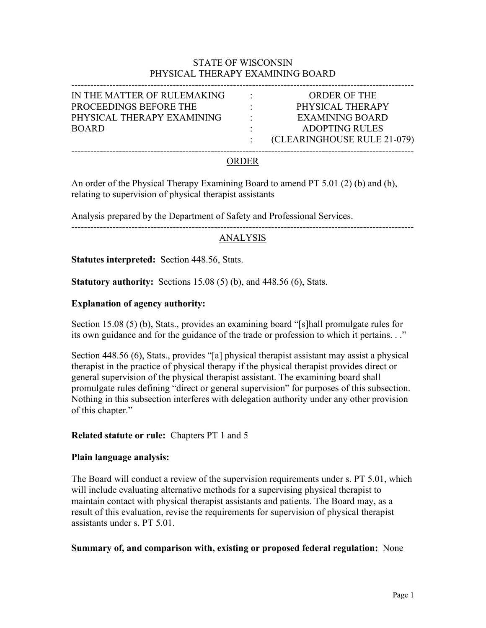### STATE OF WISCONSIN PHYSICAL THERAPY EXAMINING BOARD

| IN THE MATTER OF RULEMAKING<br><b>ORDER OF THE</b><br>$\bullet$   |  |
|-------------------------------------------------------------------|--|
|                                                                   |  |
| PROCEEDINGS BEFORE THE<br>PHYSICAL THERAPY<br>٠.                  |  |
| PHYSICAL THERAPY EXAMINING<br><b>EXAMINING BOARD</b><br>$\bullet$ |  |
| <b>ADOPTING RULES</b><br><b>BOARD</b>                             |  |
| (CLEARINGHOUSE RULE 21-079)                                       |  |
|                                                                   |  |

### ORDER

An order of the Physical Therapy Examining Board to amend PT 5.01 (2) (b) and (h), relating to supervision of physical therapist assistants

Analysis prepared by the Department of Safety and Professional Services.

------------------------------------------------------------------------------------------------------------

### ANALYSIS

**Statutes interpreted:** Section 448.56, Stats.

**Statutory authority:** Sections 15.08 (5) (b), and 448.56 (6), Stats.

#### **Explanation of agency authority:**

Section 15.08 (5) (b), Stats., provides an examining board "[s]hall promulgate rules for its own guidance and for the guidance of the trade or profession to which it pertains. . ."

Section 448.56 (6), Stats., provides "[a] physical therapist assistant may assist a physical therapist in the practice of physical therapy if the physical therapist provides direct or general supervision of the physical therapist assistant. The examining board shall promulgate rules defining "direct or general supervision" for purposes of this subsection. Nothing in this subsection interferes with delegation authority under any other provision of this chapter."

#### **Related statute or rule:** Chapters PT 1 and 5

#### **Plain language analysis:**

The Board will conduct a review of the supervision requirements under s. PT 5.01, which will include evaluating alternative methods for a supervising physical therapist to maintain contact with physical therapist assistants and patients. The Board may, as a result of this evaluation, revise the requirements for supervision of physical therapist assistants under s. PT 5.01.

#### **Summary of, and comparison with, existing or proposed federal regulation:** None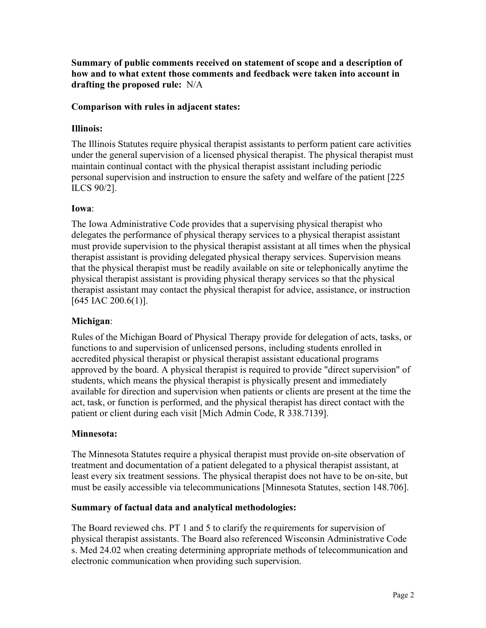**Summary of public comments received on statement of scope and a description of how and to what extent those comments and feedback were taken into account in drafting the proposed rule:** N/A

## **Comparison with rules in adjacent states:**

### **Illinois:**

The Illinois Statutes require physical therapist assistants to perform patient care activities under the general supervision of a licensed physical therapist. The physical therapist must maintain continual contact with the physical therapist assistant including periodic personal supervision and instruction to ensure the safety and welfare of the patient [225 ILCS 90/2].

### **Iowa**:

The Iowa Administrative Code provides that a supervising physical therapist who delegates the performance of physical therapy services to a physical therapist assistant must provide supervision to the physical therapist assistant at all times when the physical therapist assistant is providing delegated physical therapy services. Supervision means that the physical therapist must be readily available on site or telephonically anytime the physical therapist assistant is providing physical therapy services so that the physical therapist assistant may contact the physical therapist for advice, assistance, or instruction [645 IAC 200.6(1)].

# **Michigan**:

Rules of the Michigan Board of Physical Therapy provide for delegation of acts, tasks, or functions to and supervision of unlicensed persons, including students enrolled in accredited physical therapist or physical therapist assistant educational programs approved by the board. A physical therapist is required to provide "direct supervision" of students, which means the physical therapist is physically present and immediately available for direction and supervision when patients or clients are present at the time the act, task, or function is performed, and the physical therapist has direct contact with the patient or client during each visit [Mich Admin Code, R 338.7139].

### **Minnesota:**

The Minnesota Statutes require a physical therapist must provide on-site observation of treatment and documentation of a patient delegated to a physical therapist assistant, at least every six treatment sessions. The physical therapist does not have to be on-site, but must be easily accessible via telecommunications [Minnesota Statutes, section 148.706].

### **Summary of factual data and analytical methodologies:**

The Board reviewed chs. PT 1 and 5 to clarify the requirements for supervision of physical therapist assistants. The Board also referenced Wisconsin Administrative Code s. Med 24.02 when creating determining appropriate methods of telecommunication and electronic communication when providing such supervision.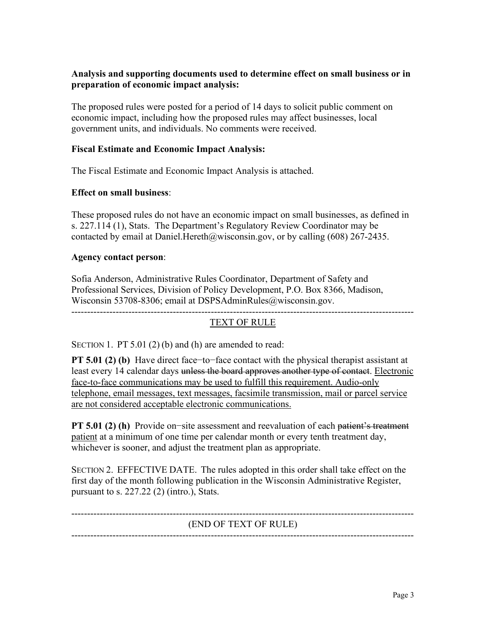# **Analysis and supporting documents used to determine effect on small business or in preparation of economic impact analysis:**

The proposed rules were posted for a period of 14 days to solicit public comment on economic impact, including how the proposed rules may affect businesses, local government units, and individuals. No comments were received.

### **Fiscal Estimate and Economic Impact Analysis:**

The Fiscal Estimate and Economic Impact Analysis is attached.

### **Effect on small business**:

These proposed rules do not have an economic impact on small businesses, as defined in s. 227.114 (1), Stats. The Department's Regulatory Review Coordinator may be contacted by email at Daniel. Hereth  $@w$  is consin.gov, or by calling (608) 267-2435.

#### **Agency contact person**:

Sofia Anderson, Administrative Rules Coordinator, Department of Safety and Professional Services, Division of Policy Development, P.O. Box 8366, Madison, Wisconsin 53708-8306; email at DSPSAdminRules@wisconsin.gov. ------------------------------------------------------------------------------------------------------------

# TEXT OF RULE

SECTION 1. PT 5.01 (2) (b) and (h) are amended to read:

**PT 5.01 (2) (b)** Have direct face−to−face contact with the physical therapist assistant at least every 14 calendar days unless the board approves another type of contact. Electronic face-to-face communications may be used to fulfill this requirement. Audio-only telephone, email messages, text messages, facsimile transmission, mail or parcel service are not considered acceptable electronic communications.

**PT 5.01 (2) (h)** Provide on−site assessment and reevaluation of each <del>patient's treatment</del> patient at a minimum of one time per calendar month or every tenth treatment day, whichever is sooner, and adjust the treatment plan as appropriate.

SECTION 2. EFFECTIVE DATE. The rules adopted in this order shall take effect on the first day of the month following publication in the Wisconsin Administrative Register, pursuant to s.  $227.22$  (2) (intro.), Stats.

# (END OF TEXT OF RULE) ------------------------------------------------------------------------------------------------------------

------------------------------------------------------------------------------------------------------------